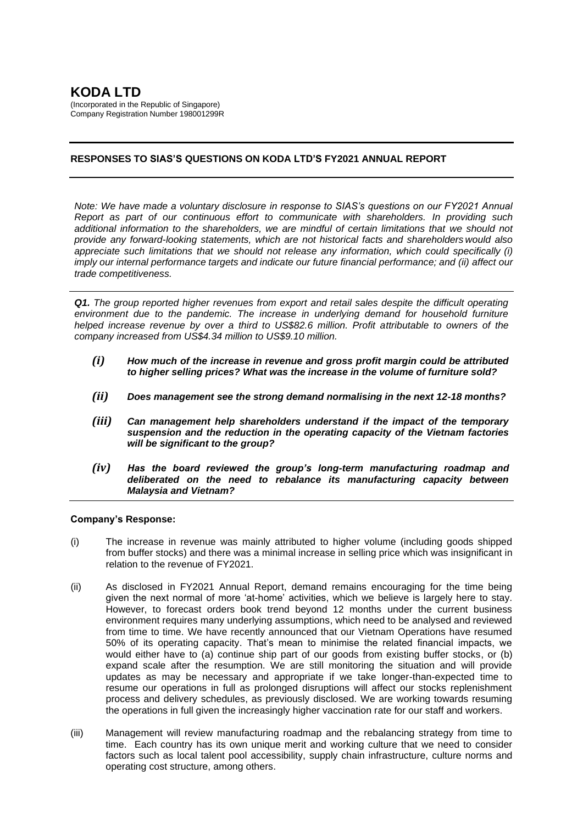# **KODA LTD**

(Incorporated in the Republic of Singapore) Company Registration Number 198001299R

# **RESPONSES TO SIAS'S QUESTIONS ON KODA LTD'S FY2021 ANNUAL REPORT**

*Note: We have made a voluntary disclosure in response to SIAS's questions on our FY2021 Annual Report as part of our continuous effort to communicate with shareholders. In providing such additional information to the shareholders, we are mindful of certain limitations that we should not provide any forward-looking statements, which are not historical facts and shareholders would also appreciate such limitations that we should not release any information, which could specifically (i) imply our internal performance targets and indicate our future financial performance; and (ii) affect our trade competitiveness.*

*Q1. The group reported higher revenues from export and retail sales despite the difficult operating environment due to the pandemic. The increase in underlying demand for household furniture helped increase revenue by over a third to US\$82.6 million. Profit attributable to owners of the company increased from US\$4.34 million to US\$9.10 million.*

- *(i) How much of the increase in revenue and gross profit margin could be attributed to higher selling prices? What was the increase in the volume of furniture sold?*
- *(ii) Does management see the strong demand normalising in the next 12-18 months?*
- *(iii) Can management help shareholders understand if the impact of the temporary suspension and the reduction in the operating capacity of the Vietnam factories will be significant to the group?*
- *(iv) Has the board reviewed the group's long-term manufacturing roadmap and deliberated on the need to rebalance its manufacturing capacity between Malaysia and Vietnam?*

# **Company's Response:**

- (i) The increase in revenue was mainly attributed to higher volume (including goods shipped from buffer stocks) and there was a minimal increase in selling price which was insignificant in relation to the revenue of FY2021.
- (ii) As disclosed in FY2021 Annual Report, demand remains encouraging for the time being given the next normal of more 'at-home' activities, which we believe is largely here to stay. However, to forecast orders book trend beyond 12 months under the current business environment requires many underlying assumptions, which need to be analysed and reviewed from time to time. We have recently announced that our Vietnam Operations have resumed 50% of its operating capacity. That's mean to minimise the related financial impacts, we would either have to (a) continue ship part of our goods from existing buffer stocks, or (b) expand scale after the resumption. We are still monitoring the situation and will provide updates as may be necessary and appropriate if we take longer-than-expected time to resume our operations in full as prolonged disruptions will affect our stocks replenishment process and delivery schedules, as previously disclosed. We are working towards resuming the operations in full given the increasingly higher vaccination rate for our staff and workers.
- (iii) Management will review manufacturing roadmap and the rebalancing strategy from time to time. Each country has its own unique merit and working culture that we need to consider factors such as local talent pool accessibility, supply chain infrastructure, culture norms and operating cost structure, among others.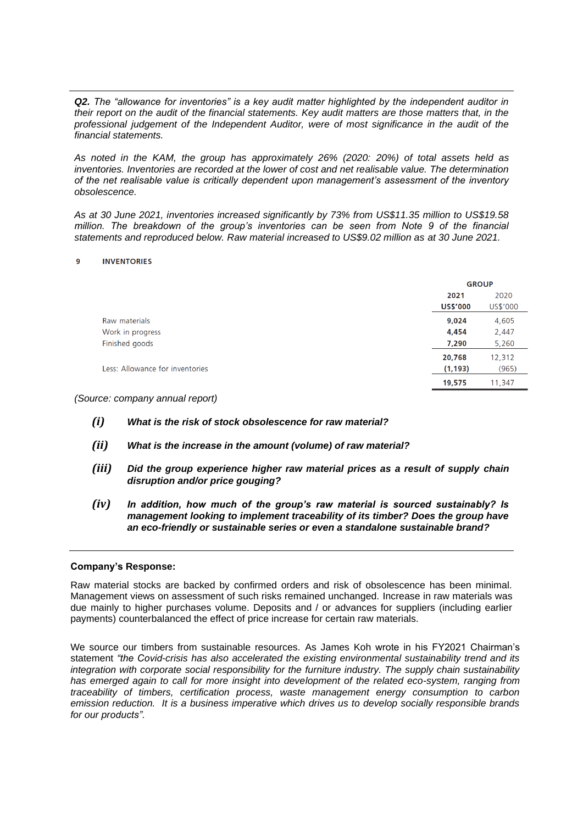*Q2. The "allowance for inventories" is a key audit matter highlighted by the independent auditor in their report on the audit of the financial statements. Key audit matters are those matters that, in the professional judgement of the Independent Auditor, were of most significance in the audit of the financial statements.*

*As noted in the KAM, the group has approximately 26% (2020: 20%) of total assets held as inventories. Inventories are recorded at the lower of cost and net realisable value. The determination of the net realisable value is critically dependent upon management's assessment of the inventory obsolescence.*

*As at 30 June 2021, inventories increased significantly by 73% from US\$11.35 million to US\$19.58 million. The breakdown of the group's inventories can be seen from Note 9 of the financial statements and reproduced below. Raw material increased to US\$9.02 million as at 30 June 2021.*

#### $\mathbf{q}$ **INVENTORIES**

|                                 |                 | <b>GROUP</b> |  |
|---------------------------------|-----------------|--------------|--|
|                                 | 2021            | 2020         |  |
|                                 | <b>US\$'000</b> | US\$'000     |  |
| Raw materials                   | 9,024           | 4,605        |  |
| Work in progress                | 4,454           | 2,447        |  |
| Finished goods                  | 7,290           | 5,260        |  |
|                                 | 20,768          | 12,312       |  |
| Less: Allowance for inventories | (1, 193)        | (965)        |  |
|                                 | 19,575          | 11,347       |  |
|                                 |                 |              |  |

*(Source: company annual report)*

- *(i) What is the risk of stock obsolescence for raw material?*
- *(ii) What is the increase in the amount (volume) of raw material?*
- *(iii) Did the group experience higher raw material prices as a result of supply chain disruption and/or price gouging?*
- *(iv) In addition, how much of the group's raw material is sourced sustainably? Is management looking to implement traceability of its timber? Does the group have an eco-friendly or sustainable series or even a standalone sustainable brand?*

# **Company's Response:**

Raw material stocks are backed by confirmed orders and risk of obsolescence has been minimal. Management views on assessment of such risks remained unchanged. Increase in raw materials was due mainly to higher purchases volume. Deposits and / or advances for suppliers (including earlier payments) counterbalanced the effect of price increase for certain raw materials.

We source our timbers from sustainable resources. As James Koh wrote in his FY2021 Chairman's statement *"the Covid-crisis has also accelerated the existing environmental sustainability trend and its integration with corporate social responsibility for the furniture industry. The supply chain sustainability*  has emerged again to call for more insight into development of the related eco-system, ranging from *traceability of timbers, certification process, waste management energy consumption to carbon emission reduction. It is a business imperative which drives us to develop socially responsible brands for our products".*